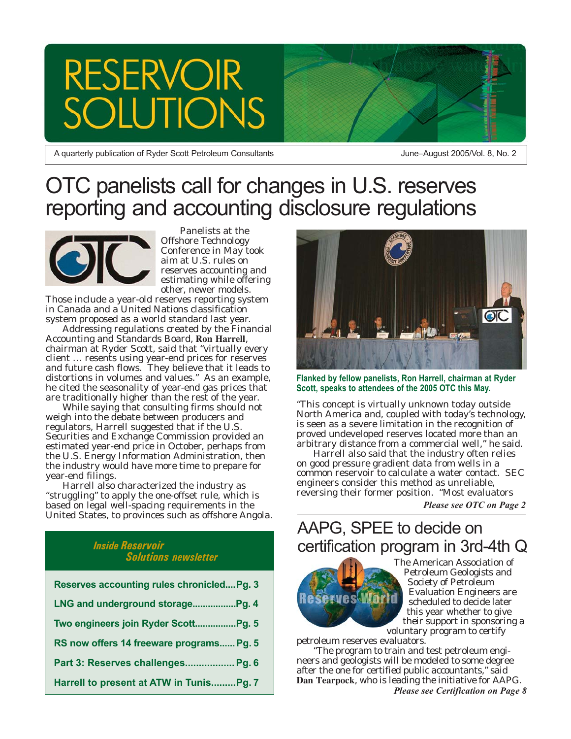



A quarterly publication of Ryder Scott Petroleum Consultants

June–August 2005/Vol. 8, No. 2

### OTC panelists call for changes in U.S. reserves reporting and accounting disclosure regulations



Panelists at the Offshore Technology Conference in May took aim at U.S. rules on reserves accounting and estimating while offering other, newer models.

Those include a year-old reserves reporting system in Canada and a United Nations classification system proposed as a world standard last year.

Addressing regulations created by the Financial Accounting and Standards Board, **Ron Harrell**, chairman at Ryder Scott, said that "virtually every client … resents using year-end prices for reserves and future cash flows. They believe that it leads to distortions in volumes and values." As an example, he cited the seasonality of year-end gas prices that are traditionally higher than the rest of the year.

While saying that consulting firms should not weigh into the debate between producers and regulators, Harrell suggested that if the U.S. Securities and Exchange Commission provided an estimated year-end price in October, perhaps from the U.S. Energy Information Administration, then the industry would have more time to prepare for year-end filings.

Harrell also characterized the industry as "struggling" to apply the one-offset rule, which is based on legal well-spacing requirements in the United States, to provinces such as offshore Angola.

#### *Inside Reservoir Solutions newsletter*

| Reserves accounting rules chronicledPg. 3 |
|-------------------------------------------|
|                                           |
| Two engineers join Ryder ScottPg. 5       |
| RS now offers 14 freeware programs Pg. 5  |
| Part 3: Reserves challenges Pg. 6         |
| Harrell to present at ATW in TunisPg. 7   |



**Flanked by fellow panelists, Ron Harrell, chairman at Ryder Scott, speaks to attendees of the 2005 OTC this May.**

"This concept is virtually unknown today outside North America and, coupled with today's technology, is seen as a severe limitation in the recognition of proved undeveloped reserves located more than an arbitrary distance from a commercial well," he said.

Harrell also said that the industry often relies on good pressure gradient data from wells in a common reservoir to calculate a water contact. SEC engineers consider this method as unreliable, reversing their former position. "Most evaluators

*Please see OTC on Page 2*

### AAPG, SPEE to decide on certification program in 3rd-4th Q



The American Association of Petroleum Geologists and Society of Petroleum Evaluation Engineers are scheduled to decide later this year whether to give their support in sponsoring a voluntary program to certify

petroleum reserves evaluators.

"The program to train and test petroleum engineers and geologists will be modeled to some degree after the one for certified public accountants," said **Dan Tearpock**, who is leading the initiative for AAPG. *Please see Certification on Page 8*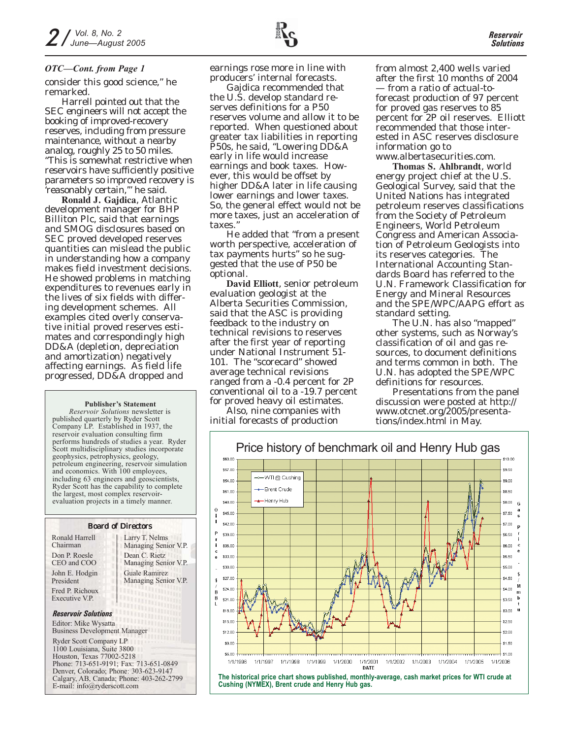#### *OTC—Cont. from Page 1*

consider this good science," he remarked.

Harrell pointed out that the SEC engineers will not accept the booking of improved-recovery reserves, including from pressure maintenance, without a nearby analog, roughly 25 to 50 miles. "This is somewhat restrictive when reservoirs have sufficiently positive parameters so improved recovery is 'reasonably certain,'" he said.

**Ronald J. Gajdica**, Atlantic development manager for BHP Billiton Plc, said that earnings and SMOG disclosures based on SEC proved developed reserves quantities can mislead the public in understanding how a company makes field investment decisions. He showed problems in matching expenditures to revenues early in the lives of six fields with differing development schemes. All examples cited overly conservative initial proved reserves estimates and correspondingly high DD&A (depletion, depreciation and amortization) negatively affecting earnings. As field life progressed, DD&A dropped and

#### **Publisher's Statement**

*Reservoir Solutions* newsletter is published quarterly by Ryder Scott Company LP. Established in 1937, the reservoir evaluation consulting firm performs hundreds of studies a year. Ryder Scott multidisciplinary studies incorporate geophysics, petrophysics, geology, petroleum engineering, reservoir simulation and economics. With 100 employees, including 63 engineers and geoscientists, Ryder Scott has the capability to complete the largest, most complex reservoirevaluation projects in a timely manner.

#### Board of Directors Don P. Roesle CEO and COO John E. Hodgin President Fred P. Richoux Ronald Harrell Chairman

Larry T. Nelms Managing Senior V.P. Dean C. Rietz Managing Senior V.P. Guale Ramirez Managing Senior V.P.

#### *Reservoir Solutions*

Executive V.P.

Editor: Mike Wysatta Business Development Manager

Ryder Scott Company LP 1100 Louisiana, Suite 3800 Houston, Texas 77002-5218 Phone: 713-651-9191; Fax: 713-651-0849 Denver, Colorado; Phone: 303-623-9147 Calgary, AB, Canada; Phone: 403-262-2799 E-mail: info@ryderscott.com

earnings rose more in line with producers' internal forecasts.

Gajdica recommended that the U.S. develop standard reserves definitions for a P50 reserves volume and allow it to be reported. When questioned about greater tax liabilities in reporting P50s, he said, "Lowering DD&A early in life would increase earnings and book taxes. However, this would be offset by higher DD&A later in life causing lower earnings and lower taxes. So, the general effect would not be more taxes, just an acceleration of taxes."

He added that "from a present worth perspective, acceleration of tax payments hurts" so he suggested that the use of P50 be optional.

**David Elliott**, senior petroleum evaluation geologist at the Alberta Securities Commission, said that the ASC is providing feedback to the industry on technical revisions to reserves after the first year of reporting under National Instrument 51- 101. The "scorecard" showed average technical revisions ranged from a -0.4 percent for 2P conventional oil to a -19.7 percent for proved heavy oil estimates.

Also, nine companies with initial forecasts of production

from almost 2,400 wells varied after the first 10 months of 2004 — from a ratio of actual-toforecast production of 97 percent for proved gas reserves to 85 percent for 2P oil reserves. Elliott recommended that those interested in ASC reserves disclosure information go to www.albertasecurities.com.

**Thomas S. Ahlbrandt**, world energy project chief at the U.S. Geological Survey, said that the United Nations has integrated petroleum reserves classifications from the Society of Petroleum Engineers, World Petroleum Congress and American Association of Petroleum Geologists into its reserves categories. The International Accounting Standards Board has referred to the U.N. Framework Classification for Energy and Mineral Resources and the SPE/WPC/AAPG effort as standard setting.

The U.N. has also "mapped" other systems, such as Norway's classification of oil and gas resources, to document definitions and terms common in both. The U.N. has adopted the SPE/WPC definitions for resources.

Presentations from the panel discussion were posted at http:// www.otcnet.org/2005/presentations/index.html in May.



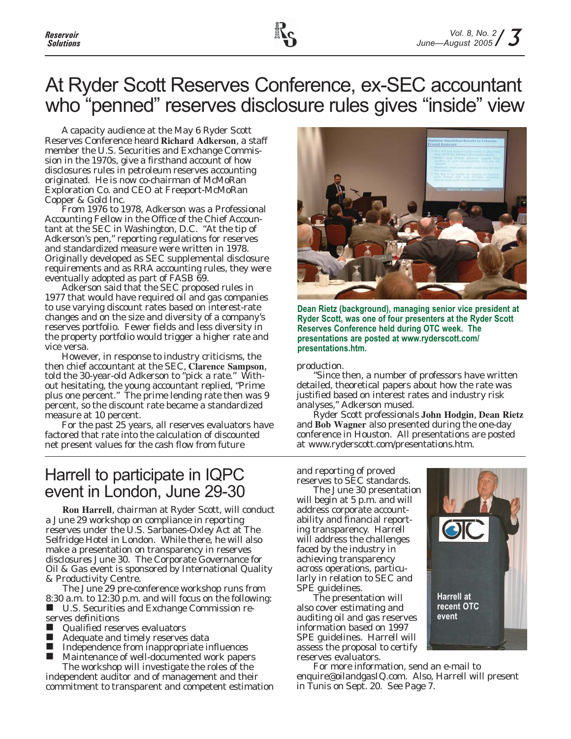### At Ryder Scott Reserves Conference, ex-SEC accountant who "penned" reserves disclosure rules gives "inside" view

A capacity audience at the May 6 Ryder Scott Reserves Conference heard **Richard Adkerson**, a staff member the U.S. Securities and Exchange Commission in the 1970s, give a firsthand account of how disclosures rules in petroleum reserves accounting originated. He is now co-chairman of McMoRan Exploration Co. and CEO at Freeport-McMoRan Copper & Gold Inc.

From 1976 to 1978, Adkerson was a Professional Accounting Fellow in the Office of the Chief Accountant at the SEC in Washington, D.C. "At the tip of Adkerson's pen," reporting regulations for reserves and standardized measure were written in 1978. Originally developed as SEC supplemental disclosure requirements and as RRA accounting rules, they were eventually adopted as part of FASB 69.

Adkerson said that the SEC proposed rules in 1977 that would have required oil and gas companies to use varying discount rates based on interest-rate changes and on the size and diversity of a company's reserves portfolio. Fewer fields and less diversity in the property portfolio would trigger a higher rate and vice versa.

However, in response to industry criticisms, the then chief accountant at the SEC, **Clarence Sampson**, told the 30-year-old Adkerson to "pick a rate." Without hesitating, the young accountant replied, "Prime plus one percent." The prime lending rate then was 9 percent, so the discount rate became a standardized measure at 10 percent.

For the past 25 years, all reserves evaluators have factored that rate into the calculation of discounted net present values for the cash flow from future

### Harrell to participate in IQPC event in London, June 29-30

**Ron Harrell**, chairman at Ryder Scott, will conduct a June 29 workshop on compliance in reporting reserves under the U.S. Sarbanes-Oxley Act at The Selfridge Hotel in London. While there, he will also make a presentation on transparency in reserves disclosures June 30. The Corporate Governance for Oil & Gas event is sponsored by International Quality & Productivity Centre.

The June 29 pre-conference workshop runs from 8:30 a.m. to 12:30 p.m. and will focus on the following: ■ U.S. Securities and Exchange Commission reserves definitions

- **Qualified reserves evaluators**
- Adequate and timely reserves data
- Independence from inappropriate influences
- Maintenance of well-documented work papers

The workshop will investigate the roles of the independent auditor and of management and their commitment to transparent and competent estimation



**Dean Rietz (background), managing senior vice president at Ryder Scott, was one of four presenters at the Ryder Scott Reserves Conference held during OTC week. The presentations are posted at www.ryderscott.com/ presentations.htm.**

production.

"Since then, a number of professors have written detailed, theoretical papers about how the rate was justified based on interest rates and industry risk analyses," Adkerson mused.

Ryder Scott professionals **John Hodgin**, **Dean Rietz** and **Bob Wagner** also presented during the one-day conference in Houston. All presentations are posted at www.ryderscott.com/presentations.htm.

and reporting of proved reserves to SEC standards.

The June 30 presentation will begin at 5 p.m. and will address corporate accountability and financial reporting transparency. Harrell will address the challenges faced by the industry in achieving transparency across operations, particularly in relation to SEC and SPE guidelines.

The presentation will also cover estimating and auditing oil and gas reserves information based on 1997 SPE guidelines. Harrell will assess the proposal to certify reserves evaluators.



For more information, send an e-mail to enquire@oilandgasIQ.com. Also, Harrell will present in Tunis on Sept. 20. See Page 7.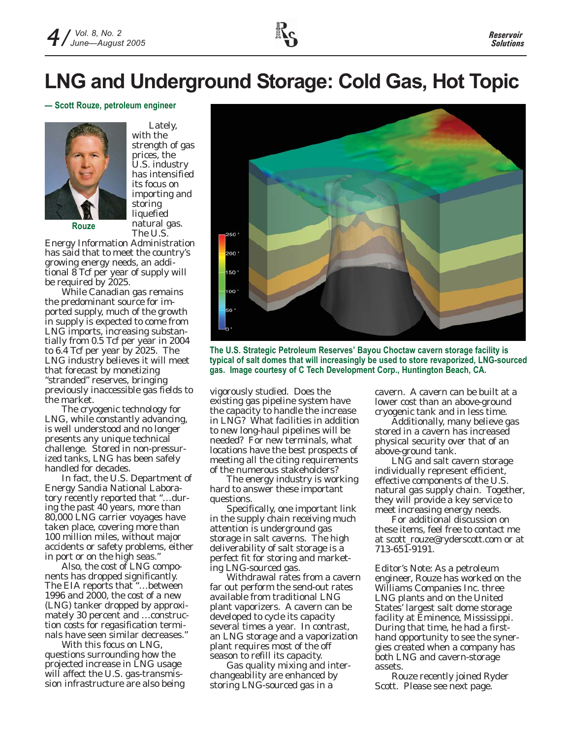

## **LNG and Underground Storage: Cold Gas, Hot Topic**

#### **— Scott Rouze, petroleum engineer**



Lately, with the strength of gas prices, the U.S. industry has intensified its focus on importing and storing liquefied natural gas. The U.S.

Energy Information Administration has said that to meet the country's growing energy needs, an additional 8 Tcf per year of supply will be required by 2025.

While Canadian gas remains the predominant source for imported supply, much of the growth in supply is expected to come from LNG imports, increasing substantially from 0.5 Tcf per year in 2004 to 6.4 Tcf per year by 2025. The LNG industry believes it will meet that forecast by monetizing "stranded" reserves, bringing previously inaccessible gas fields to the market.

The cryogenic technology for LNG, while constantly advancing, is well understood and no longer presents any unique technical challenge. Stored in non-pressurized tanks, LNG has been safely handled for decades.

In fact, the U.S. Department of Energy Sandia National Laboratory recently reported that "…during the past 40 years, more than 80,000 LNG carrier voyages have taken place, covering more than 100 million miles, without major accidents or safety problems, either in port or on the high seas."

Also, the cost of LNG components has dropped significantly. The EIA reports that "…between 1996 and 2000, the cost of a new (LNG) tanker dropped by approximately 30 percent and …construction costs for regasification terminals have seen similar decreases."

With this focus on LNG, questions surrounding how the projected increase in LNG usage will affect the U.S. gas-transmission infrastructure are also being



**The U.S. Strategic Petroleum Reserves' Bayou Choctaw cavern storage facility is typical of salt domes that will increasingly be used to store revaporized, LNG-sourced gas. Image courtesy of C Tech Development Corp., Huntington Beach, CA.**

vigorously studied. Does the existing gas pipeline system have the capacity to handle the increase in LNG? What facilities in addition to new long-haul pipelines will be needed? For new terminals, what locations have the best prospects of meeting all the citing requirements of the numerous stakeholders?

The energy industry is working hard to answer these important questions.

Specifically, one important link in the supply chain receiving much attention is underground gas storage in salt caverns. The high deliverability of salt storage is a perfect fit for storing and marketing LNG-sourced gas.

Withdrawal rates from a cavern far out perform the send-out rates available from traditional LNG plant vaporizers. A cavern can be developed to cycle its capacity several times a year. In contrast, an LNG storage and a vaporization plant requires most of the off season to refill its capacity.

Gas quality mixing and interchangeability are enhanced by storing LNG-sourced gas in a

cavern. A cavern can be built at a lower cost than an above-ground cryogenic tank and in less time.

Additionally, many believe gas stored in a cavern has increased physical security over that of an above-ground tank.

LNG and salt cavern storage individually represent efficient, effective components of the U.S. natural gas supply chain. Together, they will provide a key service to meet increasing energy needs.

For additional discussion on these items, feel free to contact me at scott rouze@ryderscott.com or at 713-651-9191.

*Editor's Note: As a petroleum engineer, Rouze has worked on the Williams Companies Inc. three LNG plants and on the United States' largest salt dome storage facility at Eminence, Mississippi. During that time, he had a firsthand opportunity to see the synergies created when a company has both LNG and cavern-storage assets.*

*Rouze recently joined Ryder Scott. Please see next page.*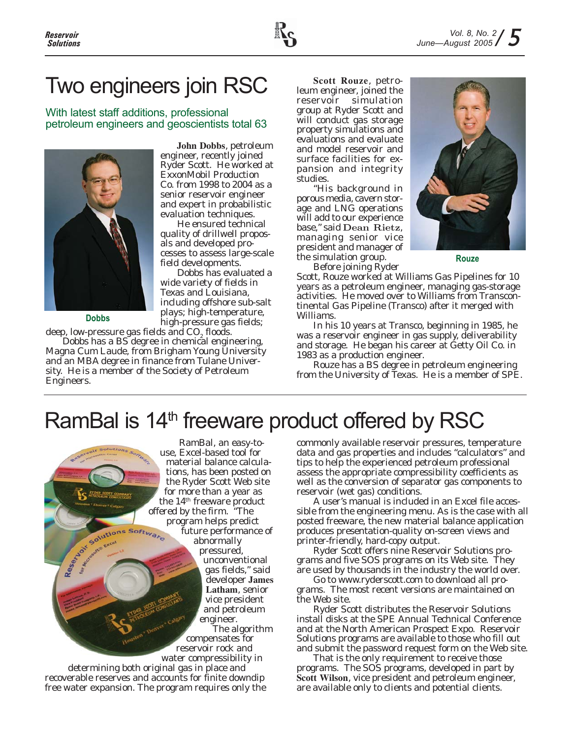

# Two engineers join RSC

With latest staff additions, professional petroleum engineers and geoscientists total 63



**John Dobbs**, petroleum engineer, recently joined Ryder Scott. He worked at ExxonMobil Production Co. from 1998 to 2004 as a senior reservoir engineer and expert in probabilistic evaluation techniques.

He ensured technical quality of drillwell proposals and developed processes to assess large-scale field developments.

Dobbs has evaluated a wide variety of fields in Texas and Louisiana, including offshore sub-salt plays; high-temperature, high-pressure gas fields;

**Dobbs**

deep, low-pressure gas fields and  $CO<sub>2</sub>$  floods. Dobbs has a BS degree in chemical engineering, Magna Cum Laude, from Brigham Young University and an MBA degree in finance from Tulane University. He is a member of the Society of Petroleum Engineers.

**Scott Rouze**, petroleum engineer, joined the reservoir simulation group at Ryder Scott and will conduct gas storage property simulations and evaluations and evaluate and model reservoir and surface facilities for expansion and integrity studies.

"His background in porous media, cavern storage and LNG operations will add to our experience base," said Dean Rietz, managing senior vice president and manager of the simulation group.

Before joining Ryder



**Rouze**

Scott, Rouze worked at Williams Gas Pipelines for 10 years as a petroleum engineer, managing gas-storage activities. He moved over to Williams from Transcontinental Gas Pipeline (Transco) after it merged with Williams.

In his 10 years at Transco, beginning in 1985, he was a reservoir engineer in gas supply, deliverability and storage. He began his career at Getty Oil Co. in 1983 as a production engineer.

Rouze has a BS degree in petroleum engineering from the University of Texas. He is a member of SPE.

# RamBal is 14<sup>th</sup> freeware product offered by RSC

RamBal, an easy-touse, Excel-based tool for material balance calculations, has been posted on the Ryder Scott Web site for more than a year as the 14<sup>th</sup> freeware product<br>offered by the firm. "The<br>program helps predict<br>future performance<br>abnormally<br>pressured of the street of the contract of the street of the program of the program of the street of the program of offered by the firm. "The program helps predict future performance of abnormally pressured, unconventional gas fields," said developer **James Latham**, senior vice president and petroleum engineer. The algorithm compensates for reservoir rock and water compressibility in determining both original gas in place and recoverable reserves and accounts for finite downdip free water expansion. The program requires only the

commonly available reservoir pressures, temperature data and gas properties and includes "calculators" and tips to help the experienced petroleum professional assess the appropriate compressibility coefficients as well as the conversion of separator gas components to reservoir (wet gas) conditions.

A user's manual is included in an Excel file accessible from the engineering menu. As is the case with all posted freeware, the new material balance application produces presentation-quality on-screen views and printer-friendly, hard-copy output.

Ryder Scott offers nine Reservoir Solutions programs and five SOS programs on its Web site. They are used by thousands in the industry the world over.

Go to www.ryderscott.com to download all programs. The most recent versions are maintained on the Web site.

Ryder Scott distributes the Reservoir Solutions install disks at the SPE Annual Technical Conference and at the North American Prospect Expo. Reservoir Solutions programs are available to those who fill out and submit the password request form on the Web site.

That is the only requirement to receive those programs. The SOS programs, developed in part by **Scott Wilson**, vice president and petroleum engineer, are available only to clients and potential clients.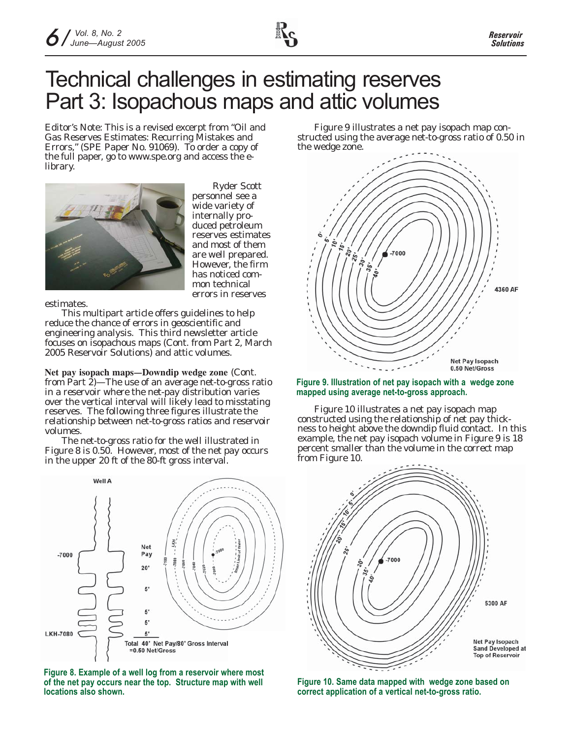## Technical challenges in estimating reserves Part 3: Isopachous maps and attic volumes

*Editor's Note: This is a revised excerpt from "Oil and Gas Reserves Estimates: Recurring Mistakes and Errors," (SPE Paper No. 91069). To order a copy of the full paper, go to www.spe.org and access the elibrary.*



Ryder Scott personnel see a wide variety of internally produced petroleum reserves estimates and most of them are well prepared. However, the firm has noticed common technical errors in reserves

estimates.

This multipart article offers guidelines to help reduce the chance of errors in geoscientific and engineering analysis. This third newsletter article focuses on isopachous maps (Cont. from Part 2, March 2005 *Reservoir Solutions*) and attic volumes.

**Net pay isopach maps—Downdip wedge zone** (Cont. from Part 2)—The use of an average net-to-gross ratio in a reservoir where the net-pay distribution varies over the vertical interval will likely lead to misstating reserves. The following three figures illustrate the relationship between net-to-gross ratios and reservoir volumes.

The net-to-gross ratio for the well illustrated in Figure 8 is 0.50. However, most of the net pay occurs in the upper 20 ft of the 80-ft gross interval.



**Figure 8. Example of a well log from a reservoir where most of the net pay occurs near the top. Structure map with well locations also shown.**

Figure 9 illustrates a net pay isopach map constructed using the average net-to-gross ratio of 0.50 in the wedge zone.



#### **Figure 9. Illustration of net pay isopach with a wedge zone mapped using average net-to-gross approach.**

Figure 10 illustrates a net pay isopach map constructed using the relationship of net pay thickness to height above the downdip fluid contact. In this example, the net pay isopach volume in Figure 9 is 18 percent smaller than the volume in the correct map from Figure 10.



**Figure 10. Same data mapped with wedge zone based on correct application of a vertical net-to-gross ratio.**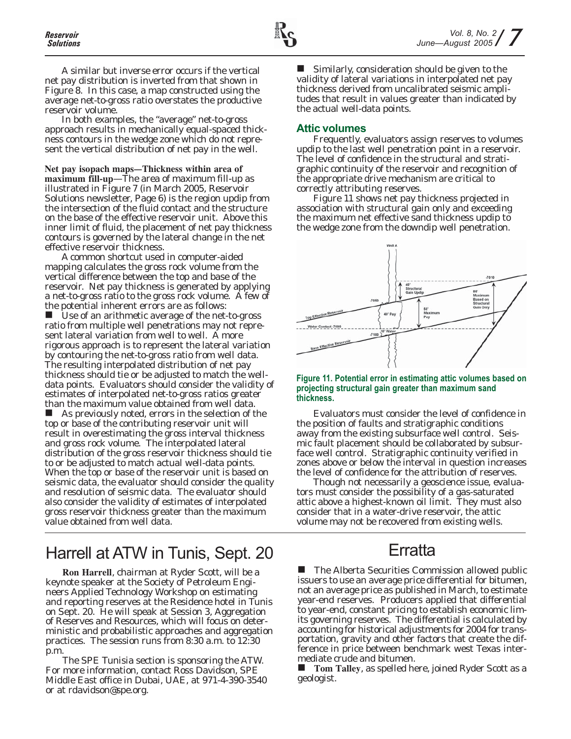A similar but inverse error occurs if the vertical net pay distribution is inverted from that shown in Figure 8. In this case, a map constructed using the average net-to-gross ratio overstates the productive reservoir volume.

In both examples, the "average" net-to-gross approach results in mechanically equal-spaced thickness contours in the wedge zone which do not represent the vertical distribution of net pay in the well.

**Net pay isopach maps—Thickness within area of maximum fill-up**—The area of maximum fill-up as illustrated in Figure 7 (in March 2005, *Reservoir Solutions* newsletter, Page 6) is the region updip from the intersection of the fluid contact and the structure on the base of the effective reservoir unit. Above this inner limit of fluid, the placement of net pay thickness contours is governed by the lateral change in the net effective reservoir thickness.

A common shortcut used in computer-aided mapping calculates the gross rock volume from the vertical difference between the top and base of the reservoir. Net pay thickness is generated by applying a net-to-gross ratio to the gross rock volume. A few of the potential inherent errors are as follows:

■ Use of an arithmetic average of the net-to-gross ratio from multiple well penetrations may not represent lateral variation from well to well. A more rigorous approach is to represent the lateral variation by contouring the net-to-gross ratio from well data. The resulting interpolated distribution of net pay thickness should tie or be adjusted to match the welldata points. Evaluators should consider the validity of estimates of interpolated net-to-gross ratios greater than the maximum value obtained from well data.

■ As previously noted, errors in the selection of the top or base of the contributing reservoir unit will result in overestimating the gross interval thickness and gross rock volume. The interpolated lateral distribution of the gross reservoir thickness should tie to or be adjusted to match actual well-data points. When the top or base of the reservoir unit is based on seismic data, the evaluator should consider the quality and resolution of seismic data. The evaluator should also consider the validity of estimates of interpolated gross reservoir thickness greater than the maximum value obtained from well data.

Harrell at ATW in Tunis, Sept. 20 Erratta

**Ron Harrell**, chairman at Ryder Scott, will be a keynote speaker at the Society of Petroleum Engineers Applied Technology Workshop on estimating and reporting reserves at the Residence hotel in Tunis on Sept. 20. He will speak at Session 3, Aggregation of Reserves and Resources, which will focus on deterministic and probabilistic approaches and aggregation practices. The session runs from 8:30 a.m. to 12:30 p.m.

The SPE Tunisia section is sponsoring the ATW. For more information, contact Ross Davidson, SPE Middle East office in Dubai, UAE, at 971-4-390-3540 or at rdavidson@spe.org.

 Similarly, consideration should be given to the validity of lateral variations in interpolated net pay thickness derived from uncalibrated seismic amplitudes that result in values greater than indicated by the actual well-data points.

### **Attic volumes**

Frequently, evaluators assign reserves to volumes updip to the last well penetration point in a reservoir. The level of confidence in the structural and stratigraphic continuity of the reservoir and recognition of the appropriate drive mechanism are critical to correctly attributing reserves.

Figure 11 shows net pay thickness projected in association with structural gain only and exceeding the maximum net effective sand thickness updip to the wedge zone from the downdip well penetration.



#### **Figure 11. Potential error in estimating attic volumes based on projecting structural gain greater than maximum sand thickness.**

Evaluators must consider the level of confidence in the position of faults and stratigraphic conditions away from the existing subsurface well control. Seismic fault placement should be collaborated by subsurface well control. Stratigraphic continuity verified in zones above or below the interval in question increases the level of confidence for the attribution of reserves.

Though not necessarily a geoscience issue, evaluators must consider the possibility of a gas-saturated attic above a highest-known oil limit. They must also consider that in a water-drive reservoir, the attic volume may not be recovered from existing wells.

 The Alberta Securities Commission allowed public issuers to use an average price differential for bitumen, not an average price as published in March, to estimate year-end reserves. Producers applied that differential to year-end, constant pricing to establish economic limits governing reserves. The differential is calculated by accounting for historical adjustments for 2004 for transportation, gravity and other factors that create the difference in price between benchmark west Texas intermediate crude and bitumen.

 **Tom Talley**, as spelled here, joined Ryder Scott as a geologist.